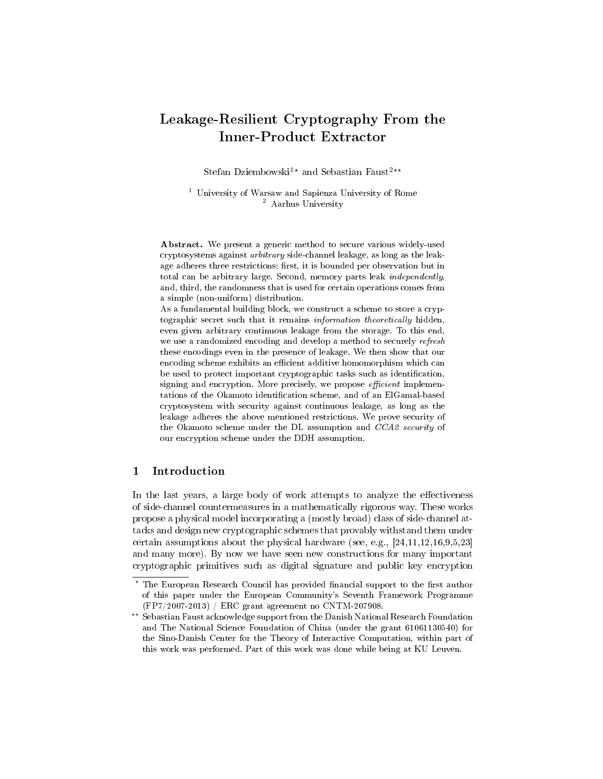# Leakage-Resilient Cryptography From the Inner-Product Extractor

Stefan Dziembowski $^{1\star}$  and Sebastian Faust $^{2\star\star}$ 

<sup>1</sup> University of Warsaw and Sapienza University of Rome <sup>2</sup> Aarhus University

Abstract. We present a generic method to secure various widely-used cryptosystems against arbitrary side-channel leakage, as long as the leakage adheres three restrictions: first, it is bounded per observation but in total can be arbitrary large. Second, memory parts leak independently, and, third, the randomness that is used for certain operations comes from a simple (non-uniform) distribution.

As a fundamental building block, we construct a scheme to store a cryptographic secret such that it remains information theoretically hidden, even given arbitrary continuous leakage from the storage. To this end, we use a randomized encoding and develop a method to securely refresh these encodings even in the presence of leakage. We then show that our encoding scheme exhibits an efficient additive homomorphism which can be used to protect important cryptographic tasks such as identification, signing and encryption. More precisely, we propose *efficient* implementations of the Okamoto identification scheme, and of an ElGamal-based cryptosystem with security against continuous leakage, as long as the leakage adheres the above mentioned restrictions. We prove security of the Okamoto scheme under the DL assumption and CCA2 security of our encryption scheme under the DDH assumption.

## 1 Introduction

In the last years, a large body of work attempts to analyze the effectiveness of side-channel countermeasures in a mathematically rigorous way. These works propose a physical model incorporating a (mostly broad) class of side-channel attacks and design new cryptographic schemes that provably withstand them under certain assumptions about the physical hardware (see, e.g.,  $[24,11,12,16,9,5,23]$ ) and many more). By now we have seen new constructions for many important cryptographic primitives such as digital signature and public key encryption

 $*$  The European Research Council has provided financial support to the first author of this paper under the European Community's Seventh Framework Programme (FP7/2007-2013) / ERC grant agreement no CNTM-207908.

<sup>\*\*</sup> Sebastian Faust acknowledge support from the Danish National Research Foundation and The National Science Foundation of China (under the grant 61061130540) for the Sino-Danish Center for the Theory of Interactive Computation, within part of this work was performed. Part of this work was done while being at KU Leuven.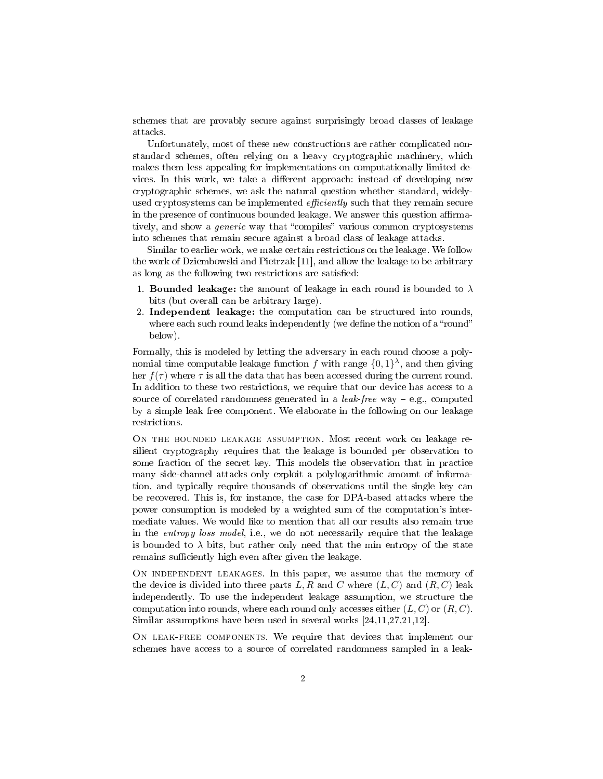schemes that are provably secure against surprisingly broad classes of leakage attacks.

Unfortunately, most of these new constructions are rather complicated nonstandard schemes, often relying on a heavy cryptographic machinery, which makes them less appealing for implementations on computationally limited devices. In this work, we take a different approach: instead of developing new cryptographic schemes, we ask the natural question whether standard, widelyused cryptosystems can be implemented *efficiently* such that they remain secure in the presence of continuous bounded leakage. We answer this question affirmatively, and show a *generic* way that "compiles" various common cryptosystems into schemes that remain secure against a broad class of leakage attacks.

Similar to earlier work, we make certain restrictions on the leakage. We follow the work of Dziembowski and Pietrzak [11], and allow the leakage to be arbitrary as long as the following two restrictions are satisfied:

- 1. **Bounded leakage:** the amount of leakage in each round is bounded to  $\lambda$ bits (but overall can be arbitrary large).
- 2. Independent leakage: the computation can be structured into rounds, where each such round leaks independently (we define the notion of a "round" below).

Formally, this is modeled by letting the adversary in each round choose a polynomial time computable leakage function  $f$  with range  $\{0,1\}^{\lambda}$ , and then giving her  $f(\tau)$  where  $\tau$  is all the data that has been accessed during the current round. In addition to these two restrictions, we require that our device has access to a source of correlated randomness generated in a *leak-free* way  $-e.g.,$  computed by a simple leak free component. We elaborate in the following on our leakage restrictions.

On the bounded leakage assumption. Most recent work on leakage resilient cryptography requires that the leakage is bounded per observation to some fraction of the secret key. This models the observation that in practice many side-channel attacks only exploit a polylogarithmic amount of information, and typically require thousands of observations until the single key can be recovered. This is, for instance, the case for DPA-based attacks where the power consumption is modeled by a weighted sum of the computation's intermediate values. We would like to mention that all our results also remain true in the entropy loss model, i.e., we do not necessarily require that the leakage is bounded to  $\lambda$  bits, but rather only need that the min entropy of the state remains sufficiently high even after given the leakage.

On independent leakages. In this paper, we assume that the memory of the device is divided into three parts L, R and C where  $(L, C)$  and  $(R, C)$  leak independently. To use the independent leakage assumption, we structure the computation into rounds, where each round only accesses either  $(L, C)$  or  $(R, C)$ . Similar assumptions have been used in several works [24,11,27,21,12].

On leak-free components. We require that devices that implement our schemes have access to a source of correlated randomness sampled in a leak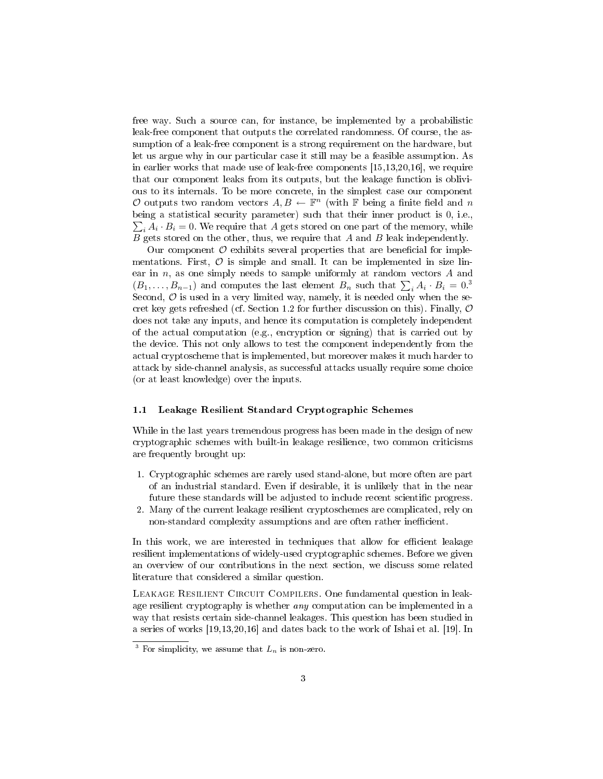free way. Such a source can, for instance, be implemented by a probabilistic leak-free component that outputs the correlated randomness. Of course, the assumption of a leak-free component is a strong requirement on the hardware, but let us argue why in our particular case it still may be a feasible assumption. As in earlier works that made use of leak-free components [15,13,20,16], we require that our component leaks from its outputs, but the leakage function is oblivious to its internals. To be more concrete, in the simplest case our component O outputs two random vectors  $A, B \leftarrow \mathbb{F}^n$  (with  $\mathbb{F}$  being a finite field and n being a statistical security parameter) such that their inner product is 0, i.e.,  $\sum_i A_i \cdot B_i = 0$ . We require that A gets stored on one part of the memory, while  $B$  gets stored on the other, thus, we require that  $A$  and  $B$  leak independently.

Our component  $\mathcal O$  exhibits several properties that are beneficial for implementations. First,  $\hat{\mathcal{O}}$  is simple and small. It can be implemented in size linear in  $n$ , as one simply needs to sample uniformly at random vectors  $A$  and  $(B_1, \ldots, B_{n-1})$  and computes the last element  $B_n$  such that  $\sum_i A_i \cdot B_i = 0$ . Second,  $O$  is used in a very limited way, namely, it is needed only when the secret key gets refreshed (cf. Section 1.2 for further discussion on this). Finally,  $\mathcal O$ does not take any inputs, and hence its computation is completely independent of the actual computation (e.g., encryption or signing) that is carried out by the device. This not only allows to test the component independently from the actual cryptoscheme that is implemented, but moreover makes it much harder to attack by side-channel analysis, as successful attacks usually require some choice (or at least knowledge) over the inputs.

#### 1.1 Leakage Resilient Standard Cryptographic Schemes

While in the last years tremendous progress has been made in the design of new cryptographic schemes with built-in leakage resilience, two common criticisms are frequently brought up:

- 1. Cryptographic schemes are rarely used stand-alone, but more often are part of an industrial standard. Even if desirable, it is unlikely that in the near future these standards will be adjusted to include recent scientific progress.
- 2. Many of the current leakage resilient cryptoschemes are complicated, rely on non-standard complexity assumptions and are often rather inefficient.

In this work, we are interested in techniques that allow for efficient leakage resilient implementations of widely-used cryptographic schemes. Before we given an overview of our contributions in the next section, we discuss some related literature that considered a similar question.

Leakage Resilient Circuit Compilers. One fundamental question in leakage resilient cryptography is whether any computation can be implemented in a way that resists certain side-channel leakages. This question has been studied in a series of works [19,13,20,16] and dates back to the work of Ishai et al. [19]. In

<sup>&</sup>lt;sup>3</sup> For simplicity, we assume that  $L_n$  is non-zero.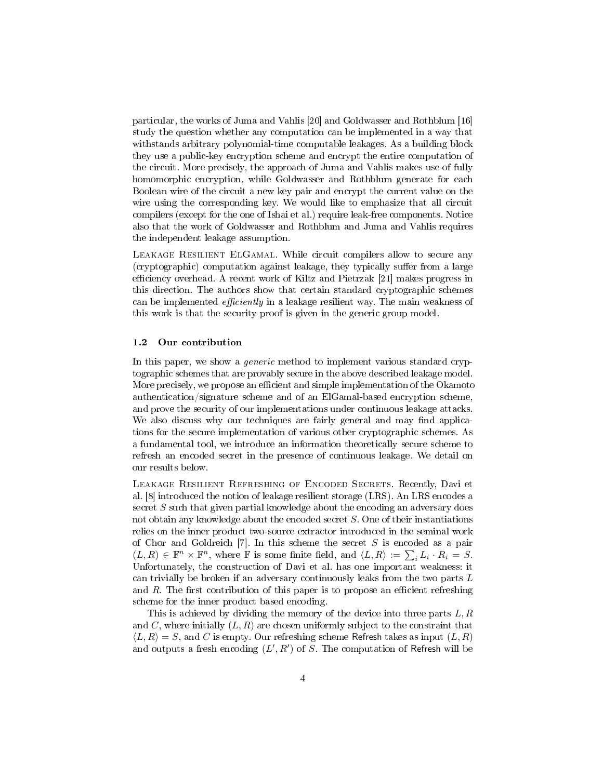particular, the works of Juma and Vahlis [20] and Goldwasser and Rothblum [16] study the question whether any computation can be implemented in a way that withstands arbitrary polynomial-time computable leakages. As a building block they use a public-key encryption scheme and encrypt the entire computation of the circuit. More precisely, the approach of Juma and Vahlis makes use of fully homomorphic encryption, while Goldwasser and Rothblum generate for each Boolean wire of the circuit a new key pair and encrypt the current value on the wire using the corresponding key. We would like to emphasize that all circuit compilers (except for the one of Ishai et al.) require leak-free components. Notice also that the work of Goldwasser and Rothblum and Juma and Vahlis requires the independent leakage assumption.

Leakage Resilient ElGamal. While circuit compilers allow to secure any (cryptographic) computation against leakage, they typically suffer from a large efficiency overhead. A recent work of Kiltz and Pietrzak [21] makes progress in this direction. The authors show that certain standard cryptographic schemes can be implemented *efficiently* in a leakage resilient way. The main weakness of this work is that the security proof is given in the generic group model.

#### 1.2 Our contribution

In this paper, we show a *generic* method to implement various standard cryptographic schemes that are provably secure in the above described leakage model. More precisely, we propose an efficient and simple implementation of the Okamoto authentication/signature scheme and of an ElGamal-based encryption scheme, and prove the security of our implementations under continuous leakage attacks. We also discuss why our techniques are fairly general and may find applications for the secure implementation of various other cryptographic schemes. As a fundamental tool, we introduce an information theoretically secure scheme to refresh an encoded secret in the presence of continuous leakage. We detail on our results below.

Leakage Resilient Refreshing of Encoded Secrets. Recently, Davi et al. [8] introduced the notion of leakage resilient storage (LRS). An LRS encodes a secret S such that given partial knowledge about the encoding an adversary does not obtain any knowledge about the encoded secret S. One of their instantiations relies on the inner product two-source extractor introduced in the seminal work of Chor and Goldreich  $[7]$ . In this scheme the secret S is encoded as a pair  $(L, R) \in \mathbb{F}^n \times \mathbb{F}^n$ , where  $\mathbb F$  is some finite field, and  $\langle L, R \rangle := \sum_i L_i \cdot R_i = S$ . Unfortunately, the construction of Davi et al. has one important weakness: it can trivially be broken if an adversary continuously leaks from the two parts  $L$ and  $R$ . The first contribution of this paper is to propose an efficient refreshing scheme for the inner product based encoding.

This is achieved by dividing the memory of the device into three parts  $L, R$ and C, where initially  $(L, R)$  are chosen uniformly subject to the constraint that  $\langle L, R \rangle = S$ , and C is empty. Our refreshing scheme Refresh takes as input  $(L, R)$ and outputs a fresh encoding  $(L', R')$  of S. The computation of Refresh will be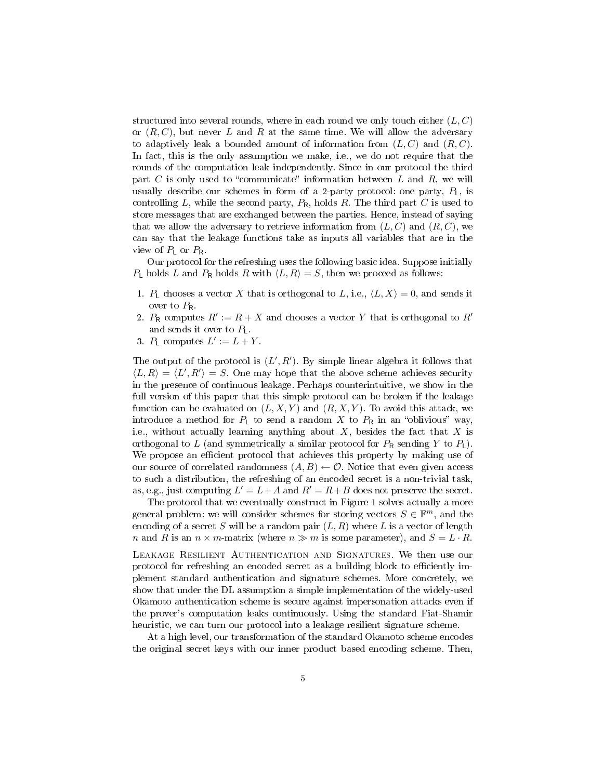structured into several rounds, where in each round we only touch either  $(L, C)$ or  $(R, C)$ , but never L and R at the same time. We will allow the adversary to adaptively leak a bounded amount of information from  $(L, C)$  and  $(R, C)$ . In fact, this is the only assumption we make, i.e., we do not require that the rounds of the computation leak independently. Since in our protocol the third part  $C$  is only used to "communicate" information between  $L$  and  $R$ , we will usually describe our schemes in form of a 2-party protocol: one party,  $P_L$ , is controlling  $L$ , while the second party,  $P_{\rm R}$ , holds  $R$ . The third part  $C$  is used to store messages that are exchanged between the parties. Hence, instead of saying that we allow the adversary to retrieve information from  $(L, C)$  and  $(R, C)$ , we can say that the leakage functions take as inputs all variables that are in the view of  $P_L$  or  $P_R$ .

Our protocol for the refreshing uses the following basic idea. Suppose initially  $P_L$  holds L and  $P_R$  holds R with  $\langle L, R \rangle = S$ , then we proceed as follows:

- 1.  $P_L$  chooses a vector X that is orthogonal to L, i.e.,  $\langle L, X \rangle = 0$ , and sends it over to  $P_{\mathsf{R}}$ .
- 2.  $P_R$  computes  $R' := R + X$  and chooses a vector Y that is orthogonal to  $R'$ and sends it over to  $P_L$ .
- 3.  $P_L$  computes  $L' := L + Y$ .

The output of the protocol is  $(L', R')$ . By simple linear algebra it follows that  $\langle L, R \rangle = \langle L', R' \rangle = S$ . One may hope that the above scheme achieves security in the presence of continuous leakage. Perhaps counterintuitive, we show in the full version of this paper that this simple protocol can be broken if the leakage function can be evaluated on  $(L, X, Y)$  and  $(R, X, Y)$ . To avoid this attack, we introduce a method for  $P_L$  to send a random X to  $P_R$  in an "oblivious" way, i.e., without actually learning anything about  $X$ , besides the fact that  $X$  is orthogonal to L (and symmetrically a similar protocol for  $P_R$  sending Y to  $P_L$ ). We propose an efficient protocol that achieves this property by making use of our source of correlated randomness  $(A, B) \leftarrow \mathcal{O}$ . Notice that even given access to such a distribution, the refreshing of an encoded secret is a non-trivial task, as, e.g., just computing  $L' = L + A$  and  $R' = R + B$  does not preserve the secret.

The protocol that we eventually construct in Figure 1 solves actually a more general problem: we will consider schemes for storing vectors  $S \in \mathbb{F}^m$ , and the encoding of a secret S will be a random pair  $(L, R)$  where L is a vector of length n and R is an  $n \times m$ -matrix (where  $n \gg m$  is some parameter), and  $S = L \cdot R$ .

Leakage Resilient Authentication and Signatures. We then use our protocol for refreshing an encoded secret as a building block to efficiently implement standard authentication and signature schemes. More concretely, we show that under the DL assumption a simple implementation of the widely-used Okamoto authentication scheme is secure against impersonation attacks even if the prover's computation leaks continuously. Using the standard Fiat-Shamir heuristic, we can turn our protocol into a leakage resilient signature scheme.

At a high level, our transformation of the standard Okamoto scheme encodes the original secret keys with our inner product based encoding scheme. Then,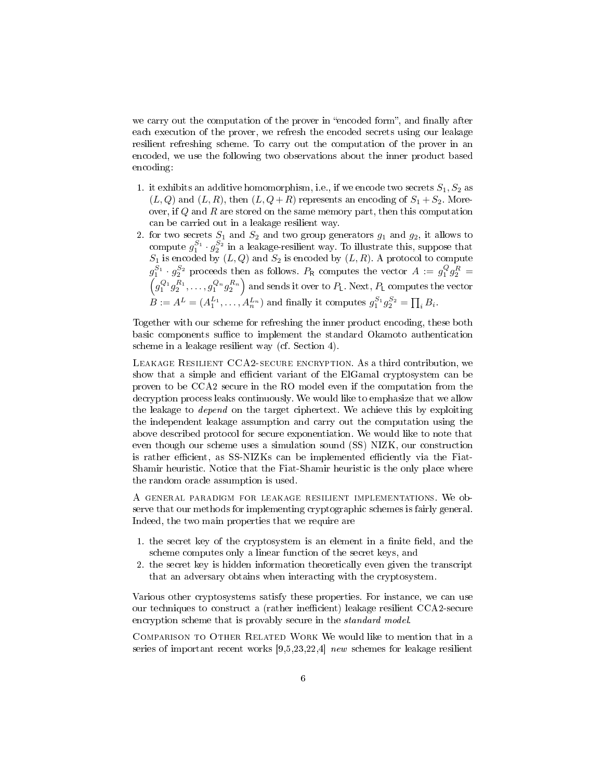we carry out the computation of the prover in "encoded form", and finally after each execution of the prover, we refresh the encoded secrets using our leakage resilient refreshing scheme. To carry out the computation of the prover in an encoded, we use the following two observations about the inner product based encoding:

- 1. it exhibits an additive homomorphism, i.e., if we encode two secrets  $S_1, S_2$  as  $(L, Q)$  and  $(L, R)$ , then  $(L, Q + R)$  represents an encoding of  $S_1 + S_2$ . Moreover, if  $Q$  and  $R$  are stored on the same memory part, then this computation can be carried out in a leakage resilient way.
- 2. for two secrets  $S_1$  and  $S_2$  and two group generators  $g_1$  and  $g_2$ , it allows to compute  $g_1^{S_1} \cdot g_2^{S_2}$  in a leakage-resilient way. To illustrate this, suppose that  $S_1$  is encoded by  $(L,Q)$  and  $S_2$  is encoded by  $(L,R)$ . A protocol to compute  $g_1^{S_1} \cdot g_2^{S_2}$  proceeds then as follows.  $P_R$  computes the vector  $A := g_1^Q g_2^R =$ <br> $\left(g_1^{Q_1} g_2^{R_1}, \ldots, g_1^{Q_n} g_2^{R_n}\right)$  and sends it over to  $P_L$ . Next,  $P_L$  computes the vector  $B := A^L = (A_1^{L_1}, \dots, A_n^{L_n})$  and finally it computes  $g_1^{S_1} g_2^{S_2} = \prod_i B_i$ .

Together with our scheme for refreshing the inner product encoding, these both basic components suffice to implement the standard Okamoto authentication scheme in a leakage resilient way (cf. Section 4).

Leakage Resilient CCA2-secure encryption. As a third contribution, we show that a simple and efficient variant of the ElGamal cryptosystem can be proven to be CCA2 secure in the RO model even if the computation from the decryption process leaks continuously. We would like to emphasize that we allow the leakage to depend on the target ciphertext. We achieve this by exploiting the independent leakage assumption and carry out the computation using the above described protocol for secure exponentiation. We would like to note that even though our scheme uses a simulation sound (SS) NIZK, our construction is rather efficient, as SS-NIZKs can be implemented efficiently via the Fiat-Shamir heuristic. Notice that the Fiat-Shamir heuristic is the only place where the random oracle assumption is used.

A general paradigm for leakage resilient implementations. We observe that our methods for implementing cryptographic schemes is fairly general. Indeed, the two main properties that we require are

- 1. the secret key of the cryptosystem is an element in a finite field, and the scheme computes only a linear function of the secret keys, and
- 2. the secret key is hidden information theoretically even given the transcript that an adversary obtains when interacting with the cryptosystem.

Various other cryptosystems satisfy these properties. For instance, we can use our techniques to construct a (rather inecient) leakage resilient CCA2-secure encryption scheme that is provably secure in the *standard model*.

Comparison to Other Related Work We would like to mention that in a series of important recent works [9,5,23,22,4] new schemes for leakage resilient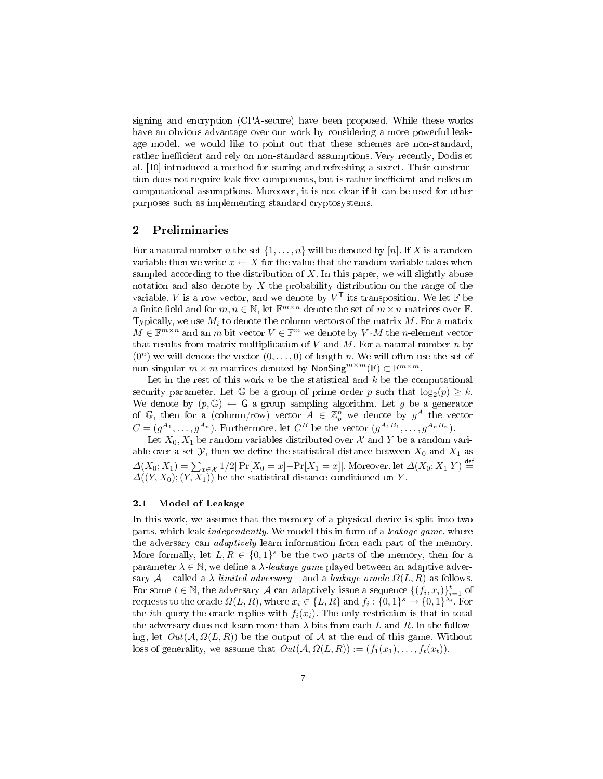signing and encryption (CPA-secure) have been proposed. While these works have an obvious advantage over our work by considering a more powerful leakage model, we would like to point out that these schemes are non-standard, rather inefficient and rely on non-standard assumptions. Very recently, Dodis et al. [10] introduced a method for storing and refreshing a secret. Their construction does not require leak-free components, but is rather inefficient and relies on computational assumptions. Moreover, it is not clear if it can be used for other purposes such as implementing standard cryptosystems.

## 2 Preliminaries

For a natural number n the set  $\{1, \ldots, n\}$  will be denoted by [n]. If X is a random variable then we write  $x \leftarrow X$  for the value that the random variable takes when sampled according to the distribution of  $X$ . In this paper, we will slightly abuse notation and also denote by  $X$  the probability distribution on the range of the variable. *V* is a row vector, and we denote by  $V<sup>T</sup>$  its transposition. We let  $\mathbb F$  be a finite field and for  $m, n \in \mathbb{N}$ , let  $\mathbb{F}^{m \times n}$  denote the set of  $m \times n$ -matrices over  $\mathbb{F}$ . Typically, we use  $M_i$  to denote the column vectors of the matrix  $M$ . For a matrix  $M \in \mathbb{F}^{m \times n}$  and an m bit vector  $V \in \mathbb{F}^m$  we denote by  $V \cdot M$  the n-element vector that results from matrix multiplication of  $V$  and  $M$ . For a natural number  $n$  by  $(0^n)$  we will denote the vector  $(0, \ldots, 0)$  of length n. We will often use the set of non-singular  $m \times m$  matrices denoted by NonSing<sup> $m \times m$ </sup> ( $\mathbb{F}$ )  $\subset \mathbb{F}^{m \times m}$ .

Let in the rest of this work  $n$  be the statistical and  $k$  be the computational security parameter. Let  $\mathbb G$  be a group of prime order p such that  $\log_2(p) \geq k$ . We denote by  $(p, \mathbb{G}) \leftarrow$  G a group sampling algorithm. Let g be a generator of G, then for a (column/row) vector  $A \in \mathbb{Z}_p^n$  we denote by  $g^A$  the vector  $C = (g^{A_1}, \ldots, g^{A_n})$ . Furthermore, let  $C^B$  be the vector  $(g^{A_1B_1}, \ldots, g^{A_nB_n})$ .

Let  $X_0, X_1$  be random variables distributed over X and Y be a random variable over a set  $\mathcal{Y}$ , then we define the statistical distance between  $X_0$  and  $X_1$  as  $\Delta(X_0; X_1) = \sum_{x \in \mathcal{X}} 1/2|\Pr[X_0 = x] - \Pr[X_1 = x]|$ . Moreover, let  $\Delta(X_0; X_1|Y) \stackrel{\mathsf{def}}{=}$  $\Delta((Y, X_0); (Y, X_1))$  be the statistical distance conditioned on Y.

#### 2.1 Model of Leakage

In this work, we assume that the memory of a physical device is split into two parts, which leak independently. We model this in form of a leakage game, where the adversary can adaptively learn information from each part of the memory. More formally, let  $L, R \in \{0,1\}^s$  be the two parts of the memory, then for a parameter  $\lambda \in \mathbb{N}$ , we define a  $\lambda$ -leakage game played between an adaptive adversary  $A$  – called a  $\lambda$ -limited adversary – and a leakage oracle  $\Omega(L, R)$  as follows. For some  $t \in \mathbb{N}$ , the adversary A can adaptively issue a sequence  $\{(f_i, x_i)\}_{i=1}^t$  of requests to the oracle  $\Omega(L,R)$ , where  $x_i \in \{L,R\}$  and  $f_i: \{0,1\}^s \rightarrow \{0,1\}^{\lambda_i}$ . For the *i*th query the oracle replies with  $f_i(x_i)$ . The only restriction is that in total the adversary does not learn more than  $\lambda$  bits from each L and R. In the following, let  $Out(\mathcal{A}, \Omega(L, R))$  be the output of A at the end of this game. Without loss of generality, we assume that  $Out(\mathcal{A}, \Omega(L, R)) := (f_1(x_1), \ldots, f_t(x_t)).$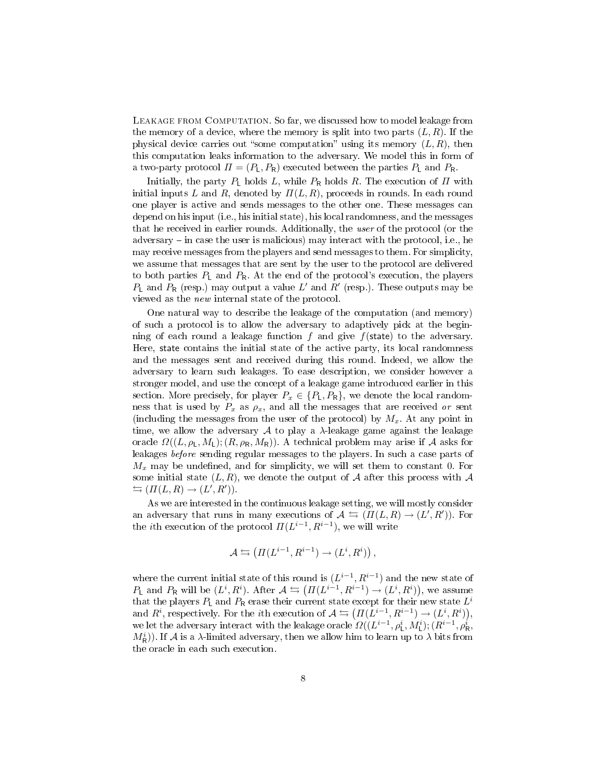LEAKAGE FROM COMPUTATION. So far, we discussed how to model leakage from the memory of a device, where the memory is split into two parts  $(L, R)$ . If the physical device carries out "some computation" using its memory  $(L, R)$ , then this computation leaks information to the adversary. We model this in form of a two-party protocol  $\Pi = (P_L, P_R)$  executed between the parties  $P_L$  and  $P_R$ .

Initially, the party  $P_L$  holds  $L$ , while  $P_R$  holds  $R$ . The execution of  $\Pi$  with initial inputs L and R, denoted by  $\Pi(L, R)$ , proceeds in rounds. In each round one player is active and sends messages to the other one. These messages can depend on his input (i.e., his initial state), his local randomness, and the messages that he received in earlier rounds. Additionally, the user of the protocol (or the adversary  $\overline{-}$  in case the user is malicious) may interact with the protocol, i.e., he may receive messages from the players and send messages to them. For simplicity, we assume that messages that are sent by the user to the protocol are delivered to both parties  $P_L$  and  $P_R$ . At the end of the protocol's execution, the players  $P_L$  and  $P_R$  (resp.) may output a value  $L'$  and  $R'$  (resp.). These outputs may be viewed as the new internal state of the protocol.

One natural way to describe the leakage of the computation (and memory) of such a protocol is to allow the adversary to adaptively pick at the beginning of each round a leakage function  $f$  and give  $f$ (state) to the adversary. Here, state contains the initial state of the active party, its local randomness and the messages sent and received during this round. Indeed, we allow the adversary to learn such leakages. To ease description, we consider however a stronger model, and use the concept of a leakage game introduced earlier in this section. More precisely, for player  $P_x \in \{P_1, P_R\}$ , we denote the local randomness that is used by  $P_x$  as  $\rho_x$ , and all the messages that are received or sent (including the messages from the user of the protocol) by  $M_x$ . At any point in time, we allow the adversary  $\mathcal A$  to play a  $\lambda$ -leakage game against the leakage oracle  $\Omega((L, \rho_L, M_L); (R, \rho_R, M_R))$ . A technical problem may arise if A asks for leakages before sending regular messages to the players. In such a case parts of  $M_x$  may be undefined, and for simplicity, we will set them to constant 0. For some initial state  $(L, R)$ , we denote the output of A after this process with A  $\leftrightarrows$   $(\Pi(L, R) \rightarrow (L', R')).$ 

As we are interested in the continuous leakage setting, we will mostly consider an adversary that runs in many executions of  $\mathcal{A} \leftrightarrows (\Pi(L,R) \to (L',R'))$ . For the *i*th execution of the protocol  $\Pi(L^{i-1}, R^{i-1})$ , we will write

$$
\mathcal{A} \leftrightarrows \left( \Pi(L^{i-1}, R^{i-1}) \rightarrow (L^i, R^i) \right),
$$

where the current initial state of this round is  $(L^{i-1}, R^{i-1})$  and the new state of  $P_L$  and  $P_R$  will be  $(L^i, R^i)$ . After  $\mathcal{A} \leftrightarrows ( \Pi(L^{i-1}, R^{i-1}) \rightarrow (L^i, R^i) )$ , we assume that the players  $P_{\mathsf{L}}$  and  $P_{\mathsf{R}}$  erase their current state except for their new state  $L^i$ and  $R^i$ , respectively. For the *i*<sup>th</sup> execution of  $\mathcal{A} \leftrightarrows ( \Pi(L^{i-1}, R^{i-1}) \rightarrow (L^i, R^i) )$ , we let the adversary interact with the leakage oracle  $\Omega((L^{i-1},\rho^i_{\mathsf{L}},M^i_{\mathsf{L}});(R^{i-1},\rho^i_{\mathsf{R}},$  $(M_R^i)$ ). If A is a  $\lambda$ -limited adversary, then we allow him to learn up to  $\lambda$  bits from the oracle in each such execution.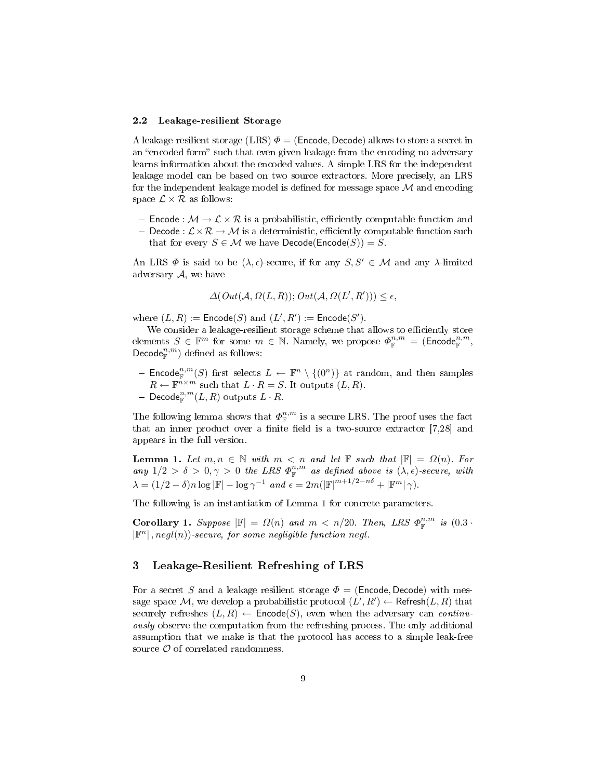#### 2.2 Leakage-resilient Storage

A leakage-resilient storage (LRS)  $\Phi =$  (Encode, Decode) allows to store a secret in an "encoded form" such that even given leakage from the encoding no adversary learns information about the encoded values. A simple LRS for the independent leakage model can be based on two source extractors. More precisely, an LRS for the independent leakage model is defined for message space  $\mathcal M$  and encoding space  $\mathcal{L} \times \mathcal{R}$  as follows:

- Encode :  $\mathcal{M} \to \mathcal{L} \times \mathcal{R}$  is a probabilistic, efficiently computable function and - Decode :  $\mathcal{L} \times \mathcal{R} \to \mathcal{M}$  is a deterministic, efficiently computable function such that for every  $S \in \mathcal{M}$  we have Decode(Encode(S)) = S.

An LRS  $\Phi$  is said to be  $(\lambda, \epsilon)$ -secure, if for any  $S, S' \in \mathcal{M}$  and any  $\lambda$ -limited adversary  $A$ , we have

$$
\Delta(Out(\mathcal{A}, \Omega(L, R)); Out(\mathcal{A}, \Omega(L', R'))) \le \epsilon,
$$

where  $(L, R) :=$  Encode $(S)$  and  $(L', R') :=$  Encode $(S')$ .

We consider a leakage-resilient storage scheme that allows to efficiently store elements  $S \in \mathbb{F}^m$  for some  $m \in \mathbb{N}$ . Namely, we propose  $\Phi_{\mathbb{F}}^{n,m} = (\mathsf{Encode}_{\mathbb{F}}^{n,m},$ Decode $_{\mathbb{F}}^{n,m}$ ) defined as follows:

- Encode<sup>n</sup><sub>F</sub><sup>n</sup>(S) first selects  $L \leftarrow \mathbb{F}^n \setminus \{(0^n)\}\$ at random, and then samples  $R \leftarrow \mathbb{F}^{n \times m}$  such that  $L \cdot R = S$ . It outputs  $(L, R)$ .
- Decode $_{\mathbb{F}}^{n,m}(L,R)$  outputs  $L \cdot R$ .

The following lemma shows that  $\varPhi_{\mathbb{F}}^{n,m}$  is a secure LRS. The proof uses the fact that an inner product over a finite field is a two-source extractor  $[7,28]$  and appears in the full version.

**Lemma 1.** Let  $m, n \in \mathbb{N}$  with  $m < n$  and let  $\mathbb{F}$  such that  $|\mathbb{F}| = \Omega(n)$ . For any  $1/2 > \delta > 0, \gamma > 0$  the LRS  $\Phi_{\mathbb{F}}^{n,m}$  as defined above is  $(\lambda, \epsilon)$ -secure, with  $\lambda = (1/2 - \delta)n \log |\mathbb{F}| - \log \gamma^{-1}$  and  $\epsilon = 2m(|\mathbb{F}|^{m+1/2-n\delta} + |\mathbb{F}^m| \gamma)$ .

The following is an instantiation of Lemma 1 for concrete parameters.

Corollary 1. Suppose  $|\mathbb{F}| = \Omega(n)$  and  $m < n/20$ . Then, LRS  $\Phi_{\mathbb{F}}^{n,m}$  is  $(0.3 \cdot$  $|\mathbb{F}^n|$ , negl(n))-secure, for some negligible function negl.

#### 3 Leakage-Resilient Refreshing of LRS

For a secret S and a leakage resilient storage  $\Phi = (Encode,Decode)$  with message space M, we develop a probabilistic protocol  $(L', R') \leftarrow \mathsf{Refresh}(L, R)$  that securely refreshes  $(L, R) \leftarrow$  Encode $(S)$ , even when the adversary can *continu*ously observe the computation from the refreshing process. The only additional assumption that we make is that the protocol has access to a simple leak-free source  $\mathcal O$  of correlated randomness.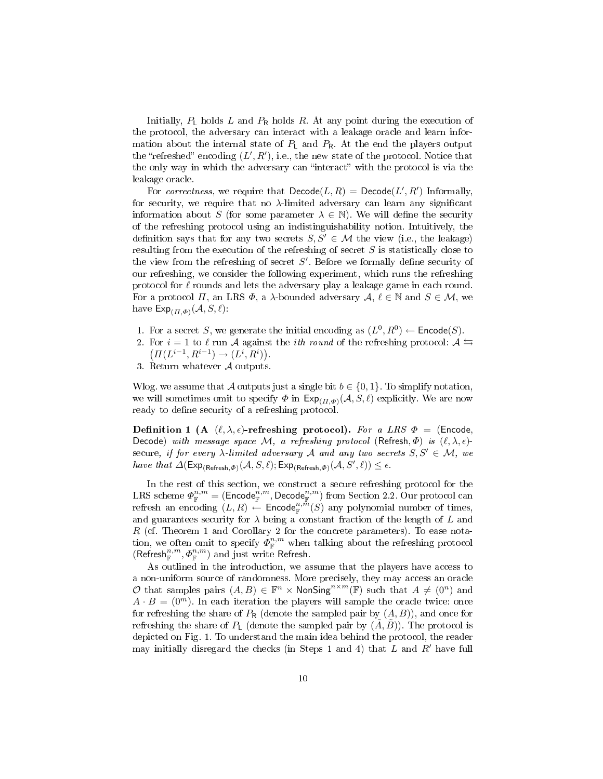Initially,  $P_L$  holds L and  $P_R$  holds R. At any point during the execution of the protocol, the adversary can interact with a leakage oracle and learn information about the internal state of  $P_L$  and  $P_R$ . At the end the players output the "refreshed" encoding  $(L', R')$ , i.e., the new state of the protocol. Notice that the only way in which the adversary can "interact" with the protocol is via the leakage oracle.

For *correctness*, we require that  $\mathsf{Decode}(L, R) = \mathsf{Decode}(L', R')$  Informally, for security, we require that no  $\lambda$ -limited adversary can learn any significant information about S (for some parameter  $\lambda \in \mathbb{N}$ ). We will define the security of the refreshing protocol using an indistinguishability notion. Intuitively, the definition says that for any two secrets  $S, S' \in \mathcal{M}$  the view (i.e., the leakage) resulting from the execution of the refreshing of secret  $S$  is statistically close to the view from the refreshing of secret  $S'$ . Before we formally define security of our refreshing, we consider the following experiment, which runs the refreshing protocol for  $\ell$  rounds and lets the adversary play a leakage game in each round. For a protocol  $\Pi$ , an LRS  $\Phi$ , a  $\lambda$ -bounded adversary  $\mathcal{A}, \ell \in \mathbb{N}$  and  $S \in \mathcal{M}$ , we have  $\mathsf{Exp}_{(\Pi,\Phi)}(\mathcal{A},S,\ell)$ :

- 1. For a secret S, we generate the initial encoding as  $(L^0, R^0) \leftarrow$  Encode(S).
- 2. For  $i = 1$  to  $\ell$  run A against the *ith round* of the refreshing protocol:  $\mathcal{A} \leftrightarrows$  $(\Pi(L^{i-1}, R^{i-1}) \to (L^i, R^i)).$
- 3. Return whatever A outputs.

Wlog. we assume that A outputs just a single bit  $b \in \{0, 1\}$ . To simplify notation, we will sometimes omit to specify  $\varPhi$  in  $\mathsf{Exp}_{(\Pi,\varPhi)}(\mathcal{A},S,\ell)$  explicitly. We are now ready to define security of a refreshing protocol.

**Definition 1** (A  $(\ell, \lambda, \epsilon)$ -refreshing protocol). For a LRS  $\Phi =$  (Encode, Decode) with message space M, a refreshing protocol (Refresh,  $\Phi$ ) is  $(\ell, \lambda, \epsilon)$ secure, if for every  $\lambda$ -limited adversary A and any two secrets  $S, S' \in \mathcal{M}$ , we have that  $\Delta(\mathsf{Exp}_{(\mathsf{Refresh}, \Phi)}(\mathcal{A}, S, \ell); \mathsf{Exp}_{(\mathsf{Refresh}, \Phi)}(\mathcal{A}, S', \ell)) \leq \epsilon$ .

In the rest of this section, we construct a secure refreshing protocol for the LRS scheme  $\varPhi^{n,m}_{\mathbb F} =$  (Encode $^{n,m}_{\mathbb F}$ , Decode $^{n,m}_{\mathbb F}$ ) from Section 2.2. Our protocol can refresh an encoding  $(L, R) \leftarrow \mathsf{Encode}_{\mathbb{F}}^{n,m}(S)$  any polynomial number of times, and guarantees security for  $\lambda$  being a constant fraction of the length of L and R (cf. Theorem 1 and Corollary 2 for the concrete parameters). To ease notation, we often omit to specify  $\varPhi_{\mathbb{F}}^{n,m}$  when talking about the refreshing protocol (Refresh $_n^{n,m}, \Phi_{\mathbb{F}}^{n,m}$ ) and just write Refresh.

As outlined in the introduction, we assume that the players have access to a non-uniform source of randomness. More precisely, they may access an oracle O that samples pairs  $(A, B) \in \mathbb{F}^n \times \text{NonSing}^{n \times m}(\mathbb{F})$  such that  $A \neq (0^n)$  and  $A \cdot B = (0^m)$ . In each iteration the players will sample the oracle twice: once for refreshing the share of  $P_R$  (denote the sampled pair by  $(A, B)$ ), and once for refreshing the share of  $P_L$  (denote the sampled pair by  $(A, B)$ ). The protocol is depicted on Fig. 1. To understand the main idea behind the protocol, the reader may initially disregard the checks (in Steps 1 and 4) that  $L$  and  $R'$  have full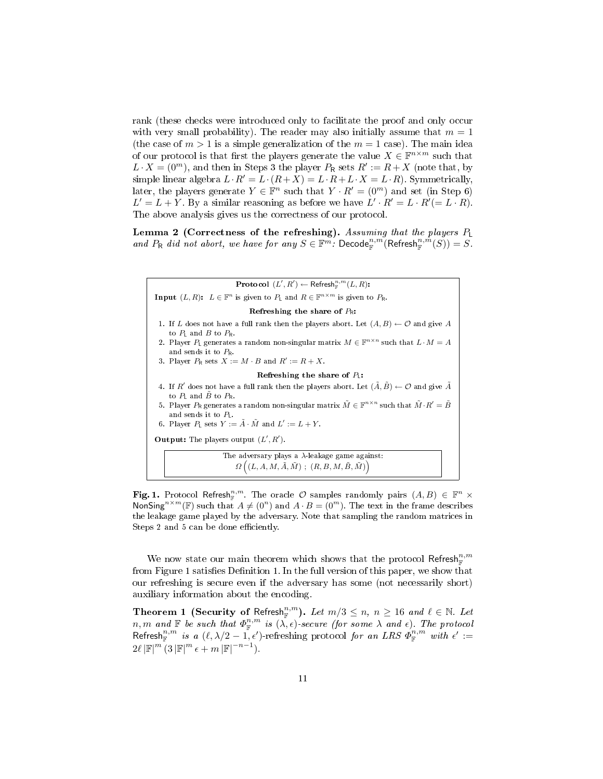rank (these checks were introduced only to facilitate the proof and only occur with very small probability). The reader may also initially assume that  $m = 1$ (the case of  $m > 1$  is a simple generalization of the  $m = 1$  case). The main idea of our protocol is that first the players generate the value  $X \in \mathbb{F}^{n \times m}$  such that  $L \cdot X = (0^m)$ , and then in Steps 3 the player  $P_R$  sets  $R' := R + X$  (note that, by simple linear algebra  $L \cdot R' = L \cdot (R + X) = L \cdot R + L \cdot X = L \cdot R$ . Symmetrically, later, the players generate  $Y \in \mathbb{F}^n$  such that  $Y \cdot R' = (0^m)$  and set (in Step 6)  $L' = L + Y$ . By a similar reasoning as before we have  $L' \cdot R' = L \cdot R' (= L \cdot R)$ . The above analysis gives us the correctness of our protocol.

Lemma 2 (Correctness of the refreshing). Assuming that the players  $P_L$ and  $P_R$  did not abort, we have for any  $S \in \mathbb{F}^m$ . Decode  $\mathbb{F}^m$ . (Refresh $\mathbb{F}^{n,m}(S)$ ) = S.



Fig. 1. Protocol Refresh<sup>n,m</sup>. The oracle  $\mathcal O$  samples randomly pairs  $(A, B) \in \mathbb F^n \times$ NonSing<sup>n  $\times m(\mathbb{F})$ </sup> such that  $A \neq (0^n)$  and  $A \cdot B = (0^m)$ . The text in the frame describes the leakage game played by the adversary. Note that sampling the random matrices in Steps 2 and 5 can be done efficiently.

We now state our main theorem which shows that the protocol Refresh<sup>n,m</sup> from Figure 1 satisfies Definition 1. In the full version of this paper, we show that our refreshing is secure even if the adversary has some (not necessarily short) auxiliary information about the encoding.

Theorem 1 (Security of Refresh $_{\mathbb{F}}^{n,m}$ ). Let  $m/3\leq n,~n\geq 16$  and  $\ell\in\mathbb{N}$ . Let  $n,m$  and  $\mathbb F$  be such that  $\Phi^{n,m}_{\mathbb F}$  is  $(\lambda,\epsilon)$ -secure (for some  $\lambda$  and  $\epsilon$ ). The protocol Refresh<sup>n,m</sup> is a  $(\ell, \lambda/2 - 1, \epsilon')$ -refreshing protocol for an LRS  $\Phi_{\mathbb{F}}^{n,m}$  with  $\epsilon' :=$  $2\ell \left| \mathbb{F} \right|^m (3 \left| \mathbb{F} \right|^m \epsilon + m \left| \mathbb{F} \right|^{-n-1}).$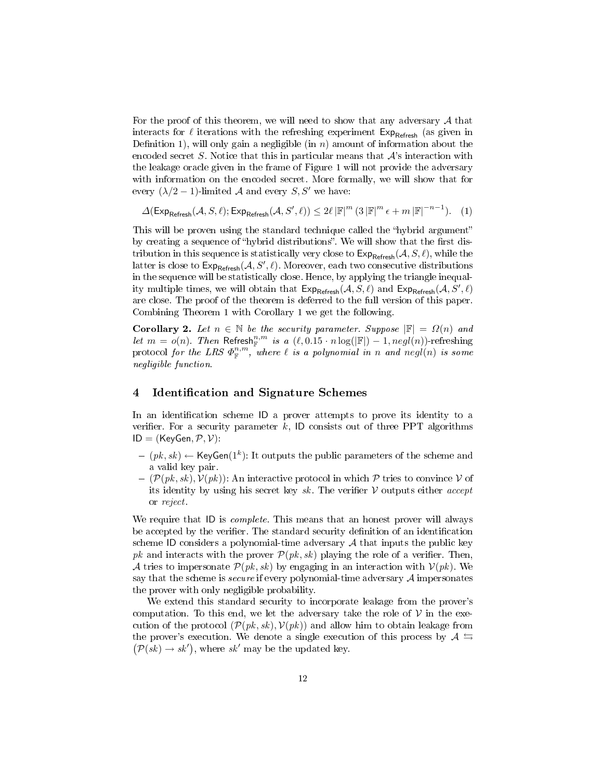For the proof of this theorem, we will need to show that any adversary  $A$  that interacts for  $\ell$  iterations with the refreshing experiment Exp<sub>Refresh</sub> (as given in Definition 1), will only gain a negligible (in  $n$ ) amount of information about the encoded secret S. Notice that this in particular means that  $A$ 's interaction with the leakage oracle given in the frame of Figure 1 will not provide the adversary with information on the encoded secret. More formally, we will show that for every  $(\lambda/2 - 1)$ -limited A and every S, S' we have:

$$
\varDelta(\text{Exp}_{\text{Refresh}}(\mathcal{A}, S, \ell); \text{Exp}_{\text{Refresh}}(\mathcal{A}, S', \ell)) \leq 2\ell \left| \mathbb{F} \right|^m (3 \left| \mathbb{F} \right|^m \epsilon + m \left| \mathbb{F} \right|^{-n-1}). \tag{1}
$$

This will be proven using the standard technique called the "hybrid argument" by creating a sequence of "hybrid distributions". We will show that the first distribution in this sequence is statistically very close to  $\mathsf{Exp}_{\mathsf{Refresh}}(\mathcal{A}, S, \ell)$ , while the latter is close to  $\mathsf{Exp}_{\mathsf{Refresh}}(\mathcal{A}, S', \ell)$ . Moreover, each two consecutive distributions in the sequence will be statistically close. Hence, by applying the triangle inequality multiple times, we will obtain that  $\mathsf{Exp}_{\mathsf{Refresh}}(\mathcal{A}, S, \ell)$  and  $\mathsf{Exp}_{\mathsf{Refresh}}(\mathcal{A}, S', \ell)$ are close. The proof of the theorem is deferred to the full version of this paper. Combining Theorem 1 with Corollary 1 we get the following.

**Corollary 2.** Let  $n \in \mathbb{N}$  be the security parameter. Suppose  $|\mathbb{F}| = \Omega(n)$  and let  $m = o(n)$ . Then Refresh $_{\mathbb{F}}^{n,m}$  is a  $(\ell, 0.15 \cdot n \log(|\mathbb{F}|) - 1, negl(n))$ -refreshing protocol for the LRS  $\varPhi_{\mathbb{F}}^{n,m}$ , where  $\ell$  is a polynomial in n and  $negl(n)$  is some negligible function.

## 4 Identification and Signature Schemes

In an identification scheme ID a prover attempts to prove its identity to a verifier. For a security parameter  $k$ , ID consists out of three PPT algorithms  $ID = (KeyGen, P, V)$ :

- $(- (pk, sk) \leftarrow \mathsf{KeyGen}(1^k)$ : It outputs the public parameters of the scheme and a valid key pair.
- $-(\mathcal{P}(pk, sk), \mathcal{V}(pk))$ : An interactive protocol in which  $\mathcal P$  tries to convince  $\mathcal V$  of its identity by using his secret key sk. The verifier  $\mathcal V$  outputs either accept or reject.

We require that ID is *complete*. This means that an honest prover will always be accepted by the verifier. The standard security definition of an identification scheme ID considers a polynomial-time adversary  $A$  that inputs the public key pk and interacts with the prover  $\mathcal{P}(pk, sk)$  playing the role of a verifier. Then, A tries to impersonate  $\mathcal{P}(pk, sk)$  by engaging in an interaction with  $\mathcal{V}(pk)$ . We say that the scheme is *secure* if every polynomial-time adversary  $A$  impersonates the prover with only negligible probability.

We extend this standard security to incorporate leakage from the prover's computation. To this end, we let the adversary take the role of  $V$  in the execution of the protocol  $(\mathcal{P}(pk, sk), \mathcal{V}(pk))$  and allow him to obtain leakage from the prover's execution. We denote a single execution of this process by  $\mathcal{A} \subseteq$  $(\mathcal{P}(sk) \rightarrow sk')$ , where sk' may be the updated key.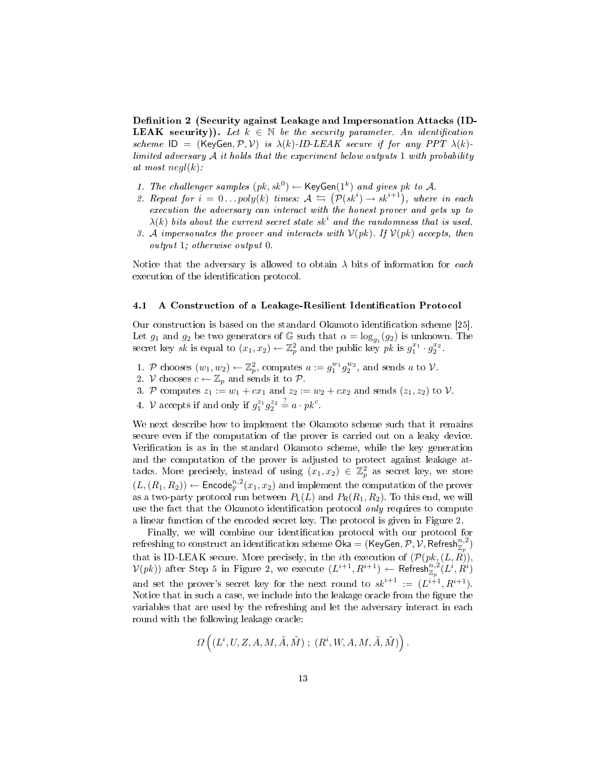Definition 2 (Security against Leakage and Impersonation Attacks (ID-**LEAK** security). Let  $k \in \mathbb{N}$  be the security parameter. An identification scheme  $ID = (KeyGen, P, V)$  is  $\lambda(k)$ -*ID-LEAK secure if for any PPT*  $\lambda(k)$ limited adversary  $A$  it holds that the experiment below outputs 1 with probability at most  $negl(k)$ :

- 1. The challenger samples  $(pk, sk^0) \leftarrow \text{KeyGen}(1^k)$  and gives pk to A.
- 2. Repeat for  $i = 0...poly(k)$  times:  $A \leftrightharpoons (P(sk^i) \rightarrow sk^{i+1})$ , where in each execution the adversary can interact with the honest prover and gets up to  $\lambda(k)$  bits about the current secret state sk<sup>i</sup> and the randomness that is used.
- 3. A impersonates the prover and interacts with  $\mathcal{V}(pk)$ . If  $\mathcal{V}(pk)$  accepts, then output 1; otherwise output 0.

Notice that the adversary is allowed to obtain  $\lambda$  bits of information for each execution of the identification protocol.

#### 4.1 A Construction of a Leakage-Resilient Identification Protocol

Our construction is based on the standard Okamoto identification scheme [25]. Let  $g_1$  and  $g_2$  be two generators of  $\mathbb G$  such that  $\alpha = \log_{g_1}(g_2)$  is unknown. The secret key sk is equal to  $(x_1, x_2) \leftarrow \mathbb{Z}_p^2$  and the public key pk is  $g_1^{x_1} \cdot g_2^{x_2}$ .

- 1. P chooses  $(w_1, w_2) \leftarrow \mathbb{Z}_p^2$ , computes  $a := g_1^{w_1} g_2^{w_2}$ , and sends a to V.
- 2. V chooses  $c \leftarrow \mathbb{Z}_p$  and sends it to  $\mathcal{P}$ .
- 3. P computes  $z_1 := w_1 + cx_1$  and  $z_2 := w_2 + cx_2$  and sends  $(z_1, z_2)$  to V.
- 4. V accepts if and only if  $g_1^{z_1} g_2^{z_2} \stackrel{?}{=} a \cdot pk^c$ .

We next describe how to implement the Okamoto scheme such that it remains secure even if the computation of the prover is carried out on a leaky device. Verification is as in the standard Okamoto scheme, while the key generation and the computation of the prover is adjusted to protect against leakage attacks. More precisely, instead of using  $(x_1, x_2) \in \mathbb{Z}_p^2$  as secret key, we store  $(L, (R_1, R_2)) \leftarrow$  Encode<sup>n, 2</sup> $(x_1, x_2)$  and implement the computation of the prover as a two-party protocol run between  $P_L(L)$  and  $P_R(R_1, R_2)$ . To this end, we will use the fact that the Okamoto identification protocol only requires to compute a linear function of the encoded secret key. The protocol is given in Figure 2.

Finally, we will combine our identification protocol with our protocol for refreshing to construct an identification scheme  $\mathsf{Oka} = (\mathsf{KeyGen}, \mathcal{P}, \mathcal{V}, \mathsf{Refresh}_{\mathbb{Z}_p}^{n,2})$ that is ID-LEAK secure. More precisely, in the *i*th execution of  $(\mathcal{P}(pk,(L,R)),$  $\mathcal{V}(pk)$ ) after Step 5 in Figure 2, we execute  $(L^{i+1}, R^{i+1}) \leftarrow \mathsf{Refresh}_{\mathbb{Z}_p}^{n,2}(L^i, R^i)$ and set the prover's secret key for the next round to  $sk^{i+1} := (L^{i+1}, R^{i+1})$ . Notice that in such a case, we include into the leakage oracle from the figure the variables that are used by the refreshing and let the adversary interact in each round with the following leakage oracle:

$$
\Omega\left((L^i,U,Z,A,M,\tilde{A},\tilde{M})\; ; \; (R^i,W,A,M,\tilde{A},\tilde{M})\right).
$$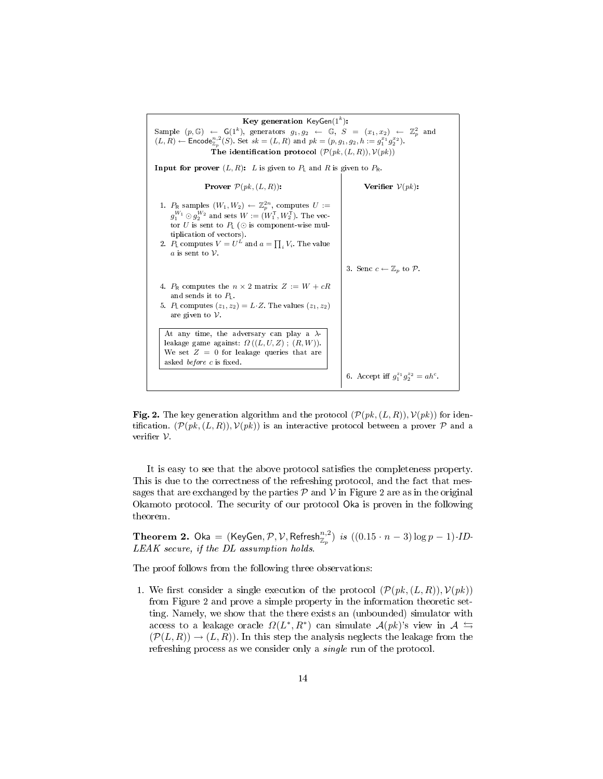| Key generation KeyGen $(1^k)$ :                                                                                                                                                                                                                                                                                                                                    |                                                        |
|--------------------------------------------------------------------------------------------------------------------------------------------------------------------------------------------------------------------------------------------------------------------------------------------------------------------------------------------------------------------|--------------------------------------------------------|
| Sample $(p,\mathbb{G}) \leftarrow \mathsf{G}(1^k)$ , generators $g_1, g_2 \leftarrow \mathbb{G}, S = (x_1,x_2) \leftarrow \mathbb{Z}_p^2$ and<br>$(L, R) \leftarrow$ Encode $_{\mathbb{Z}_p}^{n,2}(S)$ . Set $sk = (L, R)$ and $pk = (p, g_1, g_2, h := g_1^{x_1} g_2^{x_2})$ .                                                                                    |                                                        |
| The identification protocol $(\mathcal{P}(pk,(L,R)),\mathcal{V}(pk))$                                                                                                                                                                                                                                                                                              |                                                        |
| <b>Input for prover</b> $(L, R)$ : L is given to $P_L$ and R is given to $P_R$ .                                                                                                                                                                                                                                                                                   |                                                        |
| <b>Prover</b> $\mathcal{P}(pk,(L,R))$ :                                                                                                                                                                                                                                                                                                                            | Verifier $V(pk)$ :                                     |
| 1. $P_R$ samples $(W_1, W_2) \leftarrow \mathbb{Z}_p^{2n}$ , computes $U :=$<br>$g_1^{W_1} \odot g_2^{W_2}$ and sets $W := (W_1^{\mathsf{T}}, W_2^{\mathsf{T}})$ . The vec-<br>tor U is sent to $P_L$ ( $\odot$ is component-wise mul-<br>tiplication of vectors).<br>2. $P_L$ computes $V = U^L$ and $a = \prod_i V_i$ . The value<br>a is sent to $\mathcal V$ . |                                                        |
|                                                                                                                                                                                                                                                                                                                                                                    | 3. Senc $c \leftarrow \mathbb{Z}_p$ to $\mathcal{P}$ . |
| 4. $P_{\rm R}$ computes the $n \times 2$ matrix $Z := W + cR$<br>and sends it to $P_1$ .<br>5. P <sub>L</sub> computes $(z_1, z_2) = L \cdot Z$ . The values $(z_1, z_2)$<br>are given to $\mathcal V$ .                                                                                                                                                           |                                                        |
| At any time, the adversary can play a $\lambda$ -<br>leakage game against: $\Omega((L, U, Z); (R, W)).$<br>We set $Z = 0$ for leakage queries that are<br>asked <i>before</i> c is fixed.                                                                                                                                                                          | 6. Accept iff $g_1^{z_1}g_2^{z_2} = ah^c$ .            |
|                                                                                                                                                                                                                                                                                                                                                                    |                                                        |

Fig. 2. The key generation algorithm and the protocol  $(\mathcal{P}(pk,(L,R)), \mathcal{V}(pk))$  for identification.  $(\mathcal{P}(pk,(L,R)), \mathcal{V}(pk))$  is an interactive protocol between a prover  $\mathcal{P}$  and a verifier  $\mathcal V$ .

It is easy to see that the above protocol satisfies the completeness property. This is due to the correctness of the refreshing protocol, and the fact that messages that are exchanged by the parties  $P$  and  $V$  in Figure 2 are as in the original Okamoto protocol. The security of our protocol Oka is proven in the following theorem.

 $\bf Theorem\ \ 2.\ \ Oka=(KeyGen, \mathcal{P}, \mathcal{V}, Refresh^{n,2}_{\mathbb{Z}_p})\ \ is\ \left((0.15\cdot n-3)\log p-1\right)\cdot ID\text{-}$ LEAK secure, if the DL assumption holds.

The proof follows from the following three observations:

1. We first consider a single execution of the protocol  $(\mathcal{P}(pk,(L,R)), \mathcal{V}(pk))$ from Figure 2 and prove a simple property in the information theoretic setting. Namely, we show that the there exists an (unbounded) simulator with access to a leakage oracle  $\Omega(L^*, R^*)$  can simulate  $\mathcal{A}(pk)$ 's view in  $\mathcal{A} \subseteq$  $(\mathcal{P}(L,R)) \to (L,R)$ . In this step the analysis neglects the leakage from the refreshing process as we consider only a single run of the protocol.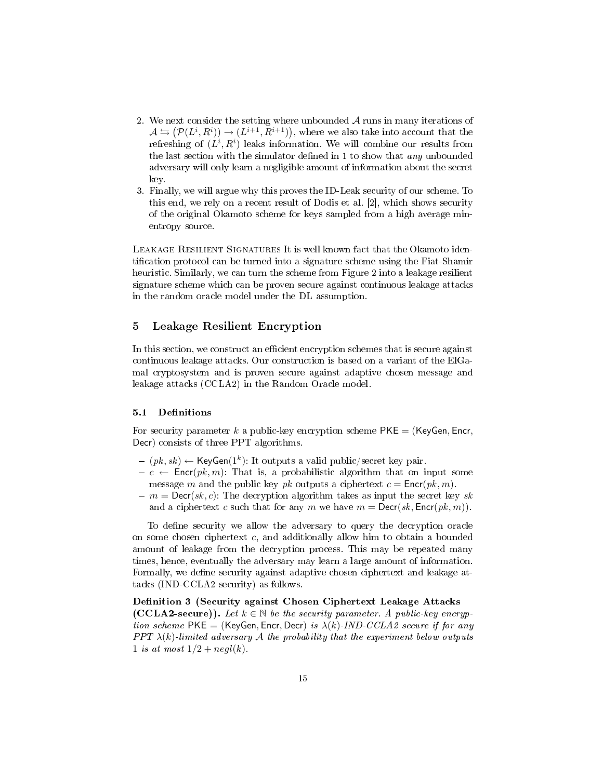- 2. We next consider the setting where unbounded  $A$  runs in many iterations of  $\mathcal{A} \leftrightarrows (\mathcal{P}(L^i,R^i)) \to (L^{i+1},\bar{R}^{i+1})),$  where we also take into account that the refreshing of  $(L^i, R^i)$  leaks information. We will combine our results from the last section with the simulator defined in 1 to show that *any* unbounded adversary will only learn a negligible amount of information about the secret key.
- 3. Finally, we will argue why this proves the ID-Leak security of our scheme. To this end, we rely on a recent result of Dodis et al. [2], which shows security of the original Okamoto scheme for keys sampled from a high average minentropy source.

Leakage Resilient Signatures It is well known fact that the Okamoto identification protocol can be turned into a signature scheme using the Fiat-Shamir heuristic. Similarly, we can turn the scheme from Figure 2 into a leakage resilient signature scheme which can be proven secure against continuous leakage attacks in the random oracle model under the DL assumption.

## 5 Leakage Resilient Encryption

In this section, we construct an efficient encryption schemes that is secure against continuous leakage attacks. Our construction is based on a variant of the ElGamal cryptosystem and is proven secure against adaptive chosen message and leakage attacks (CCLA2) in the Random Oracle model.

#### 5.1 Definitions

For security parameter k a public-key encryption scheme  $PKE = (KeyGen, Enc,$ Decr) consists of three PPT algorithms.

- $(- (pk, sk) \leftarrow \text{KeyGen}(1^k)$ : It outputs a valid public/secret key pair.
- $-c \leftarrow \text{Enc}(pk, m)$ : That is, a probabilistic algorithm that on input some message m and the public key pk outputs a ciphertext  $c = \text{Enc}(pk, m)$ .
- $m = \text{Decr}(sk, c)$ : The decryption algorithm takes as input the secret key sk and a ciphertext c such that for any m we have  $m = \text{Decr}(sk, \text{Encr}(pk, m)).$

To define security we allow the adversary to query the decryption oracle on some chosen ciphertext c, and additionally allow him to obtain a bounded amount of leakage from the decryption process. This may be repeated many times, hence, eventually the adversary may learn a large amount of information. Formally, we define security against adaptive chosen ciphertext and leakage attacks (IND-CCLA2 security) as follows.

## Definition 3 (Security against Chosen Ciphertext Leakage Attacks

(CCLA2-secure)). Let  $k \in \mathbb{N}$  be the security parameter. A public-key encryption scheme PKE = (KeyGen, Encr, Decr) is  $\lambda(k)$ -IND-CCLA2 secure if for any  $PPT \lambda(k)$ -limited adversary A the probability that the experiment below outputs 1 is at most  $1/2 + negl(k)$ .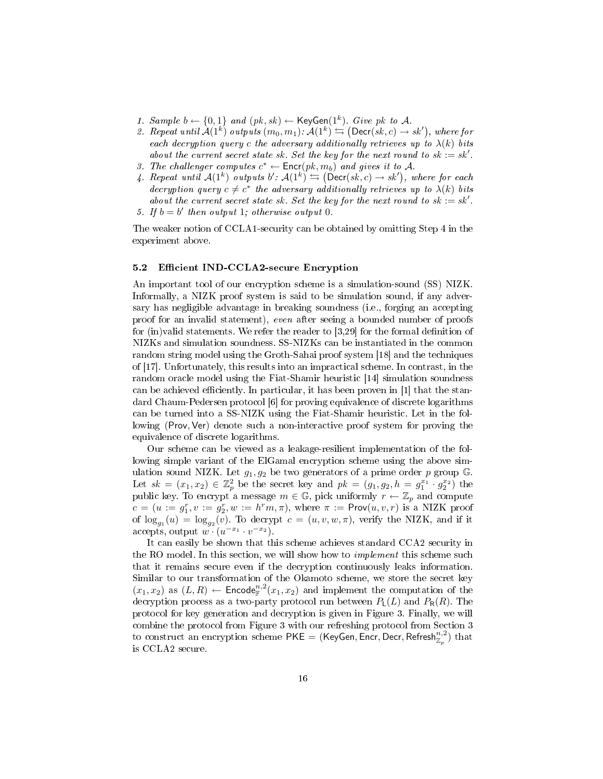- 1. Sample  $b \leftarrow \{0,1\}$  and  $(pk, sk) \leftarrow \text{KeyGen}(1^k)$ . Give pk to A.
- 2. Repeat until  $\mathcal{A}(1^k)$  outputs  $(m_0, m_1): \mathcal{A}(1^k) \leftrightarrows (\mathsf{Decr}(sk, c) \rightarrow sk')$ , where for each decryption query c the adversary additionally retrieves up to  $\lambda(k)$  bits about the current secret state sk. Set the key for the next round to  $sk := sk'$ .
- 3. The challenger computes  $c^* \leftarrow \text{Encr}(pk, m_b)$  and gives it to A.
- 4. Repeat until  $\mathcal{A}(1^k)$  outputs  $b' : \mathcal{A}(1^k) \nightharpoonup (\widetilde{\mathsf{Decr}}(sk, c) \rightarrow sk')$ , where for each decryption query  $c \neq c^*$  the adversary additionally retrieves up to  $\lambda(k)$  bits about the current secret state sk. Set the key for the next round to  $sk := sk'$ . 5. If  $b = b'$  then output 1; otherwise output 0.

The weaker notion of CCLA1-security can be obtained by omitting Step 4 in the experiment above.

#### 5.2 Efficient IND-CCLA2-secure Encryption

An important tool of our encryption scheme is a simulation-sound (SS) NIZK. Informally, a NIZK proof system is said to be simulation sound, if any adversary has negligible advantage in breaking soundness (i.e., forging an accepting proof for an invalid statement), even after seeing a bounded number of proofs for  $(in)$  valid statements. We refer the reader to  $[3,29]$  for the formal definition of NIZKs and simulation soundness. SS-NIZKs can be instantiated in the common random string model using the Groth-Sahai proof system [18] and the techniques of [17]. Unfortunately, this results into an impractical scheme. In contrast, in the random oracle model using the Fiat-Shamir heuristic [14] simulation soundness can be achieved efficiently. In particular, it has been proven in  $[1]$  that the standard Chaum-Pedersen protocol [6] for proving equivalence of discrete logarithms can be turned into a SS-NIZK using the Fiat-Shamir heuristic. Let in the following (Prov, Ver) denote such a non-interactive proof system for proving the equivalence of discrete logarithms.

Our scheme can be viewed as a leakage-resilient implementation of the following simple variant of the ElGamal encryption scheme using the above simulation sound NIZK. Let  $g_1, g_2$  be two generators of a prime order p group G. Let  $sk = (x_1, x_2) \in \mathbb{Z}_p^2$  be the secret key and  $pk = (g_1, g_2, h = g_1^{x_1} \cdot g_2^{x_2})$  the public key. To encrypt a message  $m \in \mathbb{G}$ , pick uniformly  $r \leftarrow \mathbb{Z}_p$  and compute  $c = (u := g_1^r, v := g_2^r, w := h^r m, \pi)$ , where  $\pi := \mathsf{Prov}(u, v, r)$  is a NIZK proof of  $\log_{g_1}(u) = \log_{g_2}(v)$ . To decrypt  $c = (u, v, w, \pi)$ , verify the NIZK, and if it  $\text{accepts}, \text{output } w \cdot (u^{-x_1} \cdot v^{-x_2}).$ 

It can easily be shown that this scheme achieves standard CCA2 security in the RO model. In this section, we will show how to *implement* this scheme such that it remains secure even if the decryption continuously leaks information. Similar to our transformation of the Okamoto scheme, we store the secret key  $(x_1, x_2)$  as  $(L, R) \leftarrow$  Encode<sup>n<sub>,2</sub></sup> $(x_1, x_2)$  and implement the computation of the decryption process as a two-party protocol run between  $P_1(L)$  and  $P_R(R)$ . The protocol for key generation and decryption is given in Figure 3. Finally, we will combine the protocol from Figure 3 with our refreshing protocol from Section 3 to construct an encryption scheme  $\mathsf{PKE} = (\mathsf{KeyGen}, \mathsf{Encr}, \mathsf{Decr}, \mathsf{Refresh}_{\mathbb{Z}_p}^{n,2})$  that is CCLA2 secure.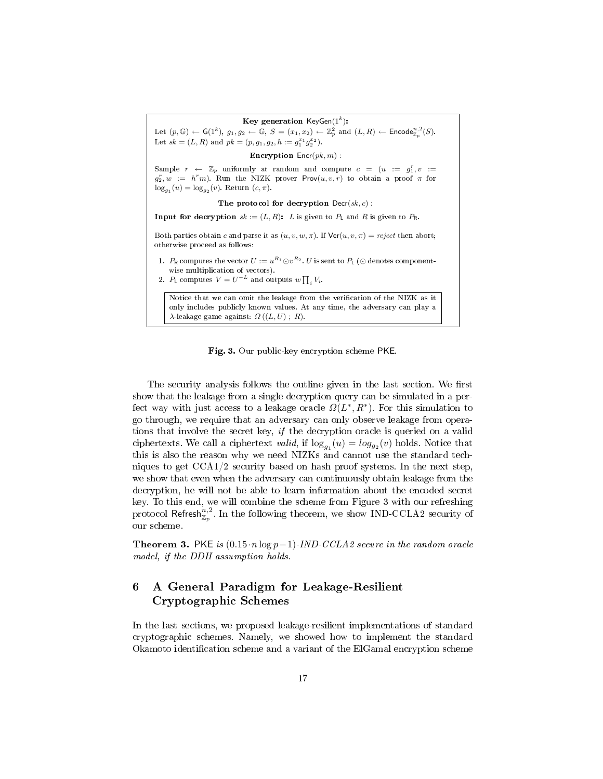${\bf Key \,\, generation} \,\, KeyGen(1^k)$ : Let  $(p, \mathbb{G}) \leftarrow G(1^k)$ ,  $g_1, g_2 \leftarrow \mathbb{G}$ ,  $S = (x_1, x_2) \leftarrow \mathbb{Z}_p^2$  and  $(L, R) \leftarrow$  Encode $_{\mathbb{Z}_p}^{n,2}(S)$ . Let  $sk = (L, R)$  and  $pk = (p, g_1, g_2, h := g_1^{x_1} g_2^{x_2})$ . Encryption  $\text{Encr}(pk, m)$ : Sample  $r \leftarrow \mathbb{Z}_p$  uniformly at random and compute  $c = (u := g_1^r, v :=$  $g_2^r, w := h^r m$ ). Run the NIZK prover Prov $(u, v, r)$  to obtain a proof  $\pi$  for  $\log_{g_1}(u) = \log_{g_2}(v)$ . Return  $(c, \pi)$ . The protocol for decryption  $Decr(sk, c)$ : Input for decryption  $sk := (L, R)$ : L is given to  $P_L$  and R is given to  $P_R$ . Both parties obtain c and parse it as  $(u, v, w, \pi)$ . If  $\text{Ver}(u, v, \pi) = reject$  then abort; otherwise proceed as follows: 1.  $P_R$  computes the vector  $U := u^{R_1} \odot v^{R_2}$ . U is sent to  $P_L$  ( $\odot$  denotes componentwise multiplication of vectors). 2.  $P_{\text{L}}$  computes  $V = U^{-L}$  and outputs  $w \prod_i V_i$ . Notice that we can omit the leakage from the verification of the NIZK as it only includes publicly known values. At any time, the adversary can play a λ-leakage game against:  $Ω((L, U); R)$ .

Fig. 3. Our public-key encryption scheme PKE.

The security analysis follows the outline given in the last section. We first show that the leakage from a single decryption query can be simulated in a perfect way with just access to a leakage oracle  $\Omega(L^*, R^*)$ . For this simulation to go through, we require that an adversary can only observe leakage from operations that involve the secret key, if the decryption oracle is queried on a valid ciphertexts. We call a ciphertext *valid*, if  $\log_{g_1}(u) = \log_{g_2}(v)$  holds. Notice that this is also the reason why we need NIZKs and cannot use the standard techniques to get  $\text{CCA1/2}$  security based on hash proof systems. In the next step, we show that even when the adversary can continuously obtain leakage from the decryption, he will not be able to learn information about the encoded secret key. To this end, we will combine the scheme from Figure 3 with our refreshing protocol Refresh $_{\mathbb{Z}_p}^{n,2}$ . In the following theorem, we show IND-CCLA2 security of our scheme.

**Theorem 3.** PKE is  $(0.15 \cdot n \log p - 1)$ -*IND-CCLA2 secure in the random oracle* model, if the DDH assumption holds.

# 6 A General Paradigm for Leakage-Resilient Cryptographic Schemes

In the last sections, we proposed leakage-resilient implementations of standard cryptographic schemes. Namely, we showed how to implement the standard Okamoto identification scheme and a variant of the ElGamal encryption scheme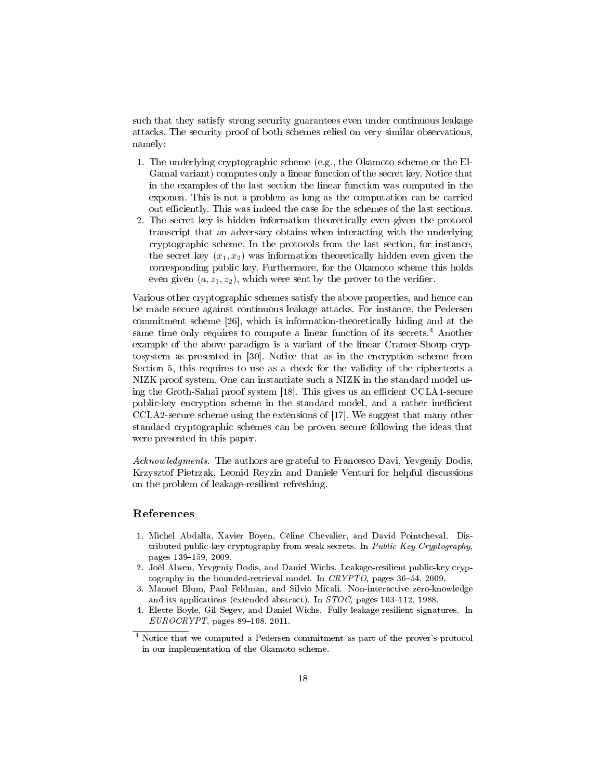such that they satisfy strong security guarantees even under continuous leakage attacks. The security proof of both schemes relied on very similar observations, namely:

- 1. The underlying cryptographic scheme (e.g., the Okamoto scheme or the El-Gamal variant) computes only a linear function of the secret key. Notice that in the examples of the last section the linear function was computed in the exponen. This is not a problem as long as the computation can be carried out efficiently. This was indeed the case for the schemes of the last sections.
- 2. The secret key is hidden information theoretically even given the protocol transcript that an adversary obtains when interacting with the underlying cryptographic scheme. In the protocols from the last section, for instance, the secret key  $(x_1, x_2)$  was information theoretically hidden even given the corresponding public key. Furthermore, for the Okamoto scheme this holds even given  $(a, z_1, z_2)$ , which were sent by the prover to the verifier.

Various other cryptographic schemes satisfy the above properties, and hence can be made secure against continuous leakage attacks. For instance, the Pedersen commitment scheme [26], which is information-theoretically hiding and at the same time only requires to compute a linear function of its secrets.<sup>4</sup> Another example of the above paradigm is a variant of the linear Cramer-Shoup cryptosystem as presented in [30]. Notice that as in the encryption scheme from Section 5, this requires to use as a check for the validity of the ciphertexts a NIZK proof system. One can instantiate such a NIZK in the standard model using the Groth-Sahai proof system  $[18]$ . This gives us an efficient CCLA1-secure public-key encryption scheme in the standard model, and a rather inefficient CCLA2-secure scheme using the extensions of [17]. We suggest that many other standard cryptographic schemes can be proven secure following the ideas that were presented in this paper.

Acknowledgments. The authors are grateful to Francesco Davi, Yevgeniy Dodis, Krzysztof Pietrzak, Leonid Reyzin and Daniele Venturi for helpful discussions on the problem of leakage-resilient refreshing.

## References

- 1. Michel Abdalla, Xavier Boyen, Céline Chevalier, and David Pointcheval. Distributed public-key cryptography from weak secrets. In Public Key Cryptography, pages 139-159, 2009.
- 2. Joël Alwen, Yevgeniy Dodis, and Daniel Wichs. Leakage-resilient public-key cryptography in the bounded-retrieval model. In  $CRYPTO$ , pages 36-54, 2009.
- 3. Manuel Blum, Paul Feldman, and Silvio Micali. Non-interactive zero-knowledge and its applications (extended abstract). In  $STOC$ , pages 103-112, 1988.
- 4. Elette Boyle, Gil Segev, and Daniel Wichs. Fully leakage-resilient signatures. In  $EUROCRPT$ , pages 89-108, 2011.

<sup>4</sup> Notice that we computed a Pedersen commitment as part of the prover's protocol in our implementation of the Okamoto scheme.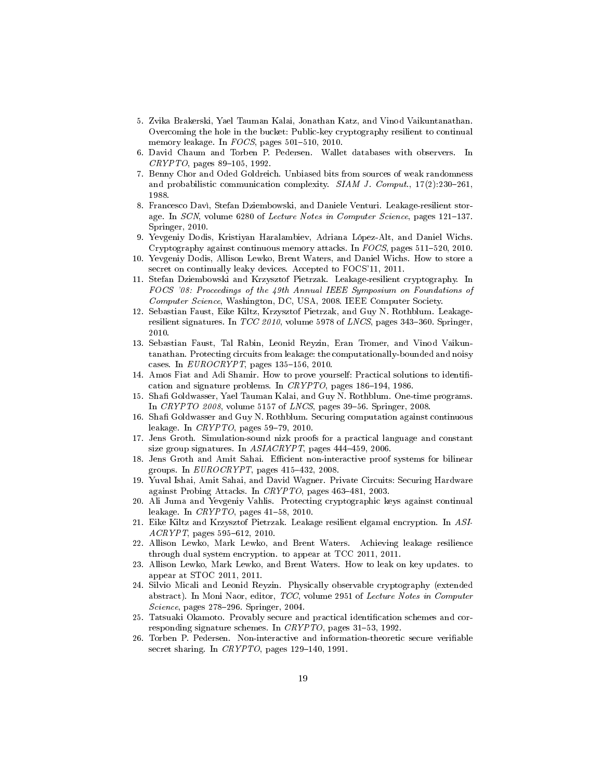- 5. Zvika Brakerski, Yael Tauman Kalai, Jonathan Katz, and Vinod Vaikuntanathan. Overcoming the hole in the bucket: Public-key cryptography resilient to continual memory leakage. In  $FOCS$ , pages 501-510, 2010.
- 6. David Chaum and Torben P. Pedersen. Wallet databases with observers. In  $CRYPTO$ , pages 89-105, 1992.
- 7. Benny Chor and Oded Goldreich. Unbiased bits from sources of weak randomness and probabilistic communication complexity. SIAM J. Comput.,  $17(2):230-261$ , 1988.
- 8. Francesco Davì, Stefan Dziembowski, and Daniele Venturi. Leakage-resilient storage. In  $SCN$ , volume 6280 of *Lecture Notes in Computer Science*, pages 121-137. Springer, 2010.
- 9. Yevgeniy Dodis, Kristiyan Haralambiev, Adriana López-Alt, and Daniel Wichs. Cryptography against continuous memory attacks. In  $FOCS$ , pages 511-520, 2010.
- 10. Yevgeniy Dodis, Allison Lewko, Brent Waters, and Daniel Wichs. How to store a secret on continually leaky devices. Accepted to FOCS'11, 2011.
- 11. Stefan Dziembowski and Krzysztof Pietrzak. Leakage-resilient cryptography. In FOCS '08: Proceedings of the 49th Annual IEEE Symposium on Foundations of Computer Science, Washington, DC, USA, 2008. IEEE Computer Society.
- 12. Sebastian Faust, Eike Kiltz, Krzysztof Pietrzak, and Guy N. Rothblum. Leakageresilient signatures. In  $TCC$  2010, volume 5978 of LNCS, pages 343-360. Springer, 2010.
- 13. Sebastian Faust, Tal Rabin, Leonid Reyzin, Eran Tromer, and Vinod Vaikuntanathan. Protecting circuits from leakage: the computationally-bounded and noisy cases. In  $EUROCRYPT$ , pages 135-156, 2010.
- 14. Amos Fiat and Adi Shamir. How to prove yourself: Practical solutions to identification and signature problems. In  $CRYPTO$ , pages 186-194, 1986.
- 15. Shafi Goldwasser, Yael Tauman Kalai, and Guy N. Rothblum. One-time programs. In CRYPTO 2008, volume 5157 of LNCS, pages 39–56. Springer, 2008.
- 16. Shafi Goldwasser and Guy N. Rothblum. Securing computation against continuous leakage. In  $CRYPTO$ , pages 59-79, 2010.
- 17. Jens Groth. Simulation-sound nizk proofs for a practical language and constant size group signatures. In  $ASIACRYPT$ , pages 444-459, 2006.
- 18. Jens Groth and Amit Sahai. Efficient non-interactive proof systems for bilinear groups. In  $EUROCRYPT$ , pages 415-432, 2008.
- 19. Yuval Ishai, Amit Sahai, and David Wagner. Private Circuits: Securing Hardware against Probing Attacks. In CRYPTO, pages 463-481, 2003.
- 20. Ali Juma and Yevgeniy Vahlis. Protecting cryptographic keys against continual leakage. In  $CRYPTO$ , pages 41-58, 2010.
- 21. Eike Kiltz and Krzysztof Pietrzak. Leakage resilient elgamal encryption. In ASI- $ACRYPT$ , pages 595-612, 2010.
- 22. Allison Lewko, Mark Lewko, and Brent Waters. Achieving leakage resilience through dual system encryption. to appear at TCC 2011, 2011.
- 23. Allison Lewko, Mark Lewko, and Brent Waters. How to leak on key updates. to appear at STOC 2011, 2011.
- 24. Silvio Micali and Leonid Reyzin. Physically observable cryptography (extended abstract). In Moni Naor, editor, TCC, volume 2951 of Lecture Notes in Computer  $Science$ , pages  $278-296$ . Springer, 2004.
- 25. Tatsuaki Okamoto. Provably secure and practical identification schemes and corresponding signature schemes. In  $CRYPTO$ , pages 31-53, 1992.
- 26. Torben P. Pedersen. Non-interactive and information-theoretic secure veriable secret sharing. In  $CRYPTO$ , pages 129-140, 1991.